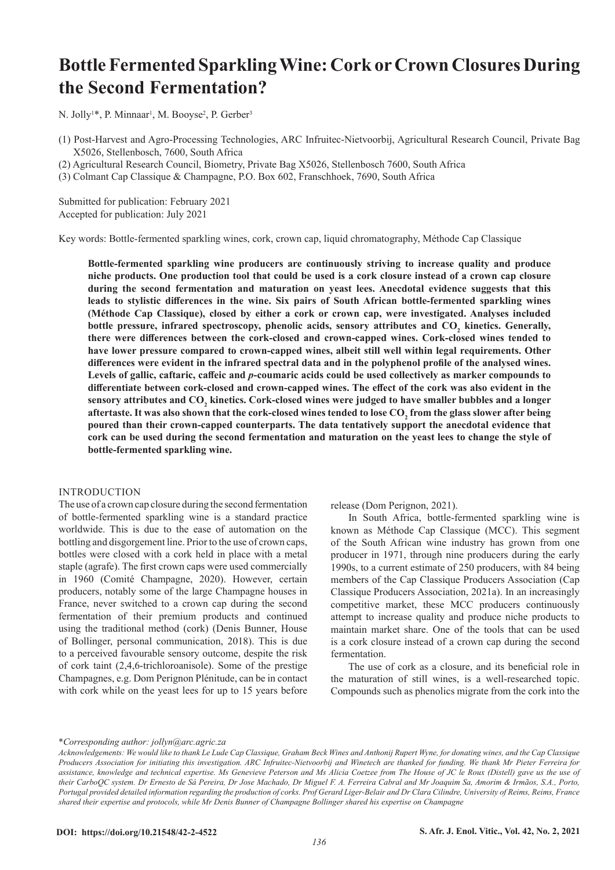# **Bottle Fermented Sparkling Wine: Cork or Crown Closures During the Second Fermentation?**

N. Jolly<sup>1\*</sup>, P. Minnaar<sup>1</sup>, M. Booyse<sup>2</sup>, P. Gerber<sup>3</sup>

(1) Post-Harvest and Agro-Processing Technologies, ARC Infruitec-Nietvoorbij, Agricultural Research Council, Private Bag X5026, Stellenbosch, 7600, South Africa

(2) Agricultural Research Council, Biometry, Private Bag X5026, Stellenbosch 7600, South Africa

(3) Colmant Cap Classique & Champagne, P.O. Box 602, Franschhoek, 7690, South Africa

Submitted for publication: February 2021 Accepted for publication: July 2021

Key words: Bottle-fermented sparkling wines, cork, crown cap, liquid chromatography, Méthode Cap Classique

**Bottle-fermented sparkling wine producers are continuously striving to increase quality and produce niche products. One production tool that could be used is a cork closure instead of a crown cap closure during the second fermentation and maturation on yeast lees. Anecdotal evidence suggests that this leads to stylistic differences in the wine. Six pairs of South African bottle-fermented sparkling wines (Méthode Cap Classique), closed by either a cork or crown cap, were investigated. Analyses included**  bottle pressure, infrared spectroscopy, phenolic acids, sensory attributes and  $CO_2$  kinetics. Generally, **there were differences between the cork-closed and crown-capped wines. Cork-closed wines tended to have lower pressure compared to crown-capped wines, albeit still well within legal requirements. Other differences were evident in the infrared spectral data and in the polyphenol profile of the analysed wines. Levels of gallic, caftaric, caffeic and** *p***-coumaric acids could be used collectively as marker compounds to differentiate between cork-closed and crown-capped wines. The effect of the cork was also evident in the**  sensory attributes and CO<sub>2</sub> kinetics. Cork-closed wines were judged to have smaller bubbles and a longer aftertaste. It was also shown that the cork-closed wines tended to lose CO<sub>2</sub> from the glass slower after being **poured than their crown-capped counterparts. The data tentatively support the anecdotal evidence that cork can be used during the second fermentation and maturation on the yeast lees to change the style of bottle-fermented sparkling wine.** 

#### INTRODUCTION

The use of a crown cap closure during the second fermentation of bottle-fermented sparkling wine is a standard practice worldwide. This is due to the ease of automation on the bottling and disgorgement line. Prior to the use of crown caps, bottles were closed with a cork held in place with a metal staple (agrafe). The first crown caps were used commercially in 1960 (Comité Champagne, 2020). However, certain producers, notably some of the large Champagne houses in France, never switched to a crown cap during the second fermentation of their premium products and continued using the traditional method (cork) (Denis Bunner, House of Bollinger, personal communication, 2018). This is due to a perceived favourable sensory outcome, despite the risk of cork taint (2,4,6-trichloroanisole). Some of the prestige Champagnes, e.g. Dom Perignon Plénitude, can be in contact with cork while on the yeast lees for up to 15 years before

release (Dom Perignon, 2021).

In South Africa, bottle-fermented sparkling wine is known as Méthode Cap Classique (MCC). This segment of the South African wine industry has grown from one producer in 1971, through nine producers during the early 1990s, to a current estimate of 250 producers, with 84 being members of the Cap Classique Producers Association (Cap Classique Producers Association, 2021a). In an increasingly competitive market, these MCC producers continuously attempt to increase quality and produce niche products to maintain market share. One of the tools that can be used is a cork closure instead of a crown cap during the second fermentation.

The use of cork as a closure, and its beneficial role in the maturation of still wines, is a well-researched topic. Compounds such as phenolics migrate from the cork into the

\**Corresponding author: jollyn@arc.agric.za*

*Acknowledgements: We would like to thank Le Lude Cap Classique, Graham Beck Wines and Anthonij Rupert Wyne, for donating wines, and the Cap Classique Producers Association for initiating this investigation. ARC Infruitec-Nietvoorbij and Winetech are thanked for funding. We thank Mr Pieter Ferreira for assistance, knowledge and technical expertise. Ms Genevieve Peterson and Ms Alicia Coetzee from The House of JC le Roux (Distell) gave us the use of their CarboQC system. Dr Ernesto de Sá Pereira, Dr Jose Machado, Dr Miguel F. A. Ferreira Cabral and Mr Joaquim Sa, Amorim & Irmãos, S.A., Porto, Portugal provided detailed information regarding the production of corks. Prof Gerard Liger-Belair and Dr Clara Cilindre, University of Reims, Reims, France shared their expertise and protocols, while Mr Denis Bunner of Champagne Bollinger shared his expertise on Champagne*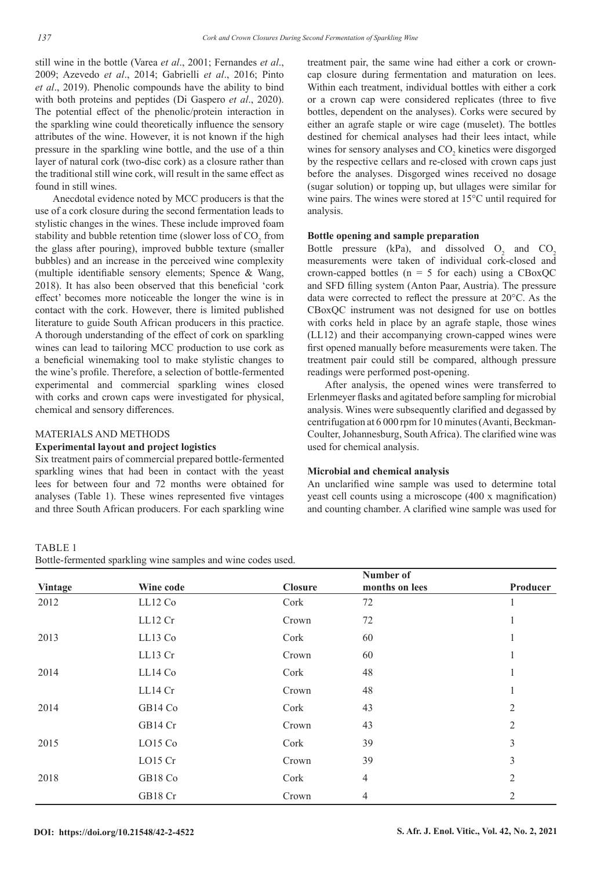still wine in the bottle (Varea *et al*., 2001; Fernandes *et al*., 2009; Azevedo *et al*., 2014; Gabrielli *et al*., 2016; Pinto *et al*., 2019). Phenolic compounds have the ability to bind with both proteins and peptides (Di Gaspero *et al*., 2020). The potential effect of the phenolic/protein interaction in the sparkling wine could theoretically influence the sensory attributes of the wine. However, it is not known if the high pressure in the sparkling wine bottle, and the use of a thin layer of natural cork (two-disc cork) as a closure rather than the traditional still wine cork, will result in the same effect as found in still wines.

Anecdotal evidence noted by MCC producers is that the use of a cork closure during the second fermentation leads to stylistic changes in the wines. These include improved foam stability and bubble retention time (slower loss of  $\mathrm{CO}_2$  from the glass after pouring), improved bubble texture (smaller bubbles) and an increase in the perceived wine complexity (multiple identifiable sensory elements; Spence & Wang, 2018). It has also been observed that this beneficial 'cork effect' becomes more noticeable the longer the wine is in contact with the cork. However, there is limited published literature to guide South African producers in this practice. A thorough understanding of the effect of cork on sparkling wines can lead to tailoring MCC production to use cork as a beneficial winemaking tool to make stylistic changes to the wine's profile. Therefore, a selection of bottle-fermented experimental and commercial sparkling wines closed with corks and crown caps were investigated for physical, chemical and sensory differences.

#### MATERIALS AND METHODS

#### **Experimental layout and project logistics**

Six treatment pairs of commercial prepared bottle-fermented sparkling wines that had been in contact with the yeast lees for between four and 72 months were obtained for analyses (Table 1). These wines represented five vintages and three South African producers. For each sparkling wine

treatment pair, the same wine had either a cork or crowncap closure during fermentation and maturation on lees. Within each treatment, individual bottles with either a cork or a crown cap were considered replicates (three to five bottles, dependent on the analyses). Corks were secured by either an agrafe staple or wire cage (muselet). The bottles destined for chemical analyses had their lees intact, while wines for sensory analyses and  $CO_2$  kinetics were disgorged by the respective cellars and re-closed with crown caps just before the analyses. Disgorged wines received no dosage (sugar solution) or topping up, but ullages were similar for wine pairs. The wines were stored at 15°C until required for analysis.

#### **Bottle opening and sample preparation**

Bottle pressure (kPa), and dissolved  $O_2$  and  $CO_2$ measurements were taken of individual cork-closed and crown-capped bottles ( $n = 5$  for each) using a CBoxQC and SFD filling system (Anton Paar, Austria). The pressure data were corrected to reflect the pressure at 20°C. As the CBoxQC instrument was not designed for use on bottles with corks held in place by an agrafe staple, those wines (LL12) and their accompanying crown-capped wines were first opened manually before measurements were taken. The treatment pair could still be compared, although pressure readings were performed post-opening.

After analysis, the opened wines were transferred to Erlenmeyer flasks and agitated before sampling for microbial analysis. Wines were subsequently clarified and degassed by centrifugation at 6 000 rpm for 10 minutes (Avanti, Beckman-Coulter, Johannesburg, South Africa). The clarified wine was used for chemical analysis.

#### **Microbial and chemical analysis**

An unclarified wine sample was used to determine total yeast cell counts using a microscope (400 x magnification) and counting chamber. A clarified wine sample was used for

TABLE 1 Bottle-fermented sparkling wine samples and wine codes used.

| Vintage | Wine code | <b>Closure</b> | Number of<br>months on lees | Producer       |
|---------|-----------|----------------|-----------------------------|----------------|
| 2012    | LL12 Co   | Cork           | 72                          | -1             |
|         | LL12 Cr   | Crown          | 72                          | -1             |
| 2013    | LL13 Co   | Cork           | 60                          |                |
|         | LL13 Cr   | Crown          | 60                          |                |
| 2014    | LL14 Co   | Cork           | 48                          |                |
|         | LL14 Cr   | Crown          | 48                          |                |
| 2014    | GB14 Co   | Cork           | 43                          | $\overline{2}$ |
|         | GB14 Cr   | Crown          | 43                          | $\overline{2}$ |
| 2015    | LO15 Co   | Cork           | 39                          | 3              |
|         | $LO15$ Cr | Crown          | 39                          | 3              |
| 2018    | GB18 Co   | Cork           | $\overline{4}$              | $\overline{2}$ |
|         | GB18 Cr   | Crown          | $\overline{4}$              | $\overline{2}$ |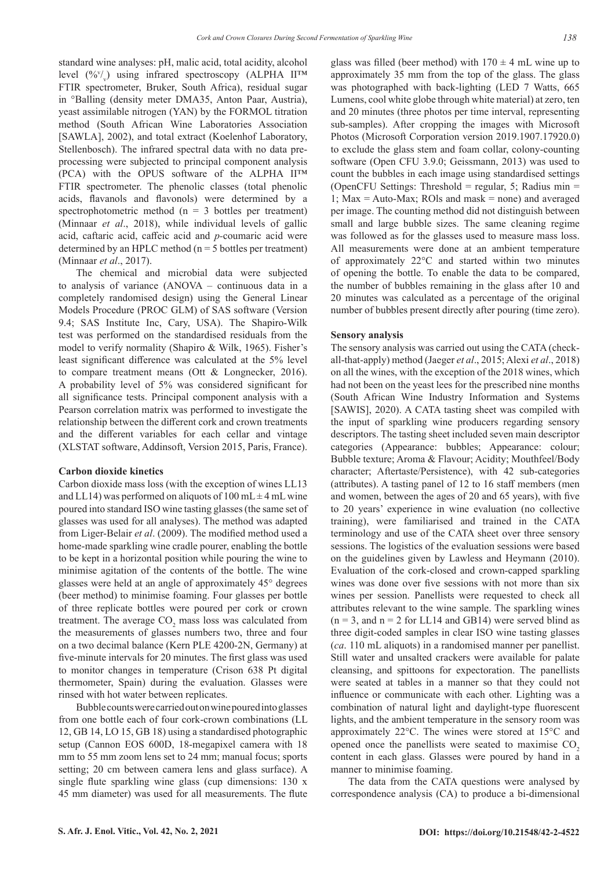standard wine analyses: pH, malic acid, total acidity, alcohol level  $(\frac{96}{}^{\circ}\)'$  using infrared spectroscopy (ALPHA II<sup>TM</sup> FTIR spectrometer, Bruker, South Africa), residual sugar in °Balling (density meter DMA35, Anton Paar, Austria), yeast assimilable nitrogen (YAN) by the FORMOL titration method (South African Wine Laboratories Association [SAWLA], 2002), and total extract (Koelenhof Laboratory, Stellenbosch). The infrared spectral data with no data preprocessing were subjected to principal component analysis (PCA) with the OPUS software of the ALPHA II™ FTIR spectrometer. The phenolic classes (total phenolic acids, flavanols and flavonols) were determined by a spectrophotometric method ( $n = 3$  bottles per treatment) (Minnaar *et al*., 2018), while individual levels of gallic acid, caftaric acid, caffeic acid and *p-*coumaric acid were determined by an HPLC method ( $n = 5$  bottles per treatment) (Minnaar *et al*., 2017).

The chemical and microbial data were subjected to analysis of variance (ANOVA – continuous data in a completely randomised design) using the General Linear Models Procedure (PROC GLM) of SAS software (Version 9.4; SAS Institute Inc, Cary, USA). The Shapiro-Wilk test was performed on the standardised residuals from the model to verify normality (Shapiro & Wilk, 1965). Fisher's least significant difference was calculated at the 5% level to compare treatment means (Ott & Longnecker, 2016). A probability level of 5% was considered significant for all significance tests. Principal component analysis with a Pearson correlation matrix was performed to investigate the relationship between the different cork and crown treatments and the different variables for each cellar and vintage (XLSTAT software, Addinsoft, Version 2015, Paris, France).

#### **Carbon dioxide kinetics**

Carbon dioxide mass loss (with the exception of wines LL13 and LL14) was performed on aliquots of 100 mL  $\pm$  4 mL wine poured into standard ISO wine tasting glasses (the same set of glasses was used for all analyses). The method was adapted from Liger-Belair *et al*. (2009). The modified method used a home-made sparkling wine cradle pourer, enabling the bottle to be kept in a horizontal position while pouring the wine to minimise agitation of the contents of the bottle. The wine glasses were held at an angle of approximately 45° degrees (beer method) to minimise foaming. Four glasses per bottle of three replicate bottles were poured per cork or crown treatment. The average  $\mathrm{CO}_2$  mass loss was calculated from the measurements of glasses numbers two, three and four on a two decimal balance (Kern PLE 4200-2N, Germany) at five-minute intervals for 20 minutes. The first glass was used to monitor changes in temperature (Crison 638 Pt digital thermometer, Spain) during the evaluation. Glasses were rinsed with hot water between replicates.

Bubble counts were carried out on wine poured into glasses from one bottle each of four cork-crown combinations (LL 12, GB 14, LO 15, GB 18) using a standardised photographic setup (Cannon EOS 600D, 18-megapixel camera with 18 mm to 55 mm zoom lens set to 24 mm; manual focus; sports setting; 20 cm between camera lens and glass surface). A single flute sparkling wine glass (cup dimensions: 130 x 45 mm diameter) was used for all measurements. The flute

glass was filled (beer method) with  $170 \pm 4$  mL wine up to approximately 35 mm from the top of the glass. The glass was photographed with back-lighting (LED 7 Watts, 665 Lumens, cool white globe through white material) at zero, ten and 20 minutes (three photos per time interval, representing sub-samples). After cropping the images with Microsoft Photos (Microsoft Corporation version 2019.1907.17920.0) to exclude the glass stem and foam collar, colony-counting software (Open CFU 3.9.0; Geissmann, 2013) was used to count the bubbles in each image using standardised settings (OpenCFU Settings: Threshold = regular, 5; Radius min = 1; Max = Auto-Max; ROls and mask = none) and averaged per image. The counting method did not distinguish between small and large bubble sizes. The same cleaning regime was followed as for the glasses used to measure mass loss. All measurements were done at an ambient temperature of approximately 22°C and started within two minutes of opening the bottle. To enable the data to be compared, the number of bubbles remaining in the glass after 10 and 20 minutes was calculated as a percentage of the original number of bubbles present directly after pouring (time zero).

#### **Sensory analysis**

The sensory analysis was carried out using the CATA (checkall-that-apply) method (Jaeger *et al*., 2015; Alexi *et al*., 2018) on all the wines, with the exception of the 2018 wines, which had not been on the yeast lees for the prescribed nine months (South African Wine Industry Information and Systems [SAWIS], 2020). A CATA tasting sheet was compiled with the input of sparkling wine producers regarding sensory descriptors. The tasting sheet included seven main descriptor categories (Appearance: bubbles; Appearance: colour; Bubble texture; Aroma & Flavour; Acidity; Mouthfeel/Body character; Aftertaste/Persistence), with 42 sub-categories (attributes). A tasting panel of 12 to 16 staff members (men and women, between the ages of 20 and 65 years), with five to 20 years' experience in wine evaluation (no collective training), were familiarised and trained in the CATA terminology and use of the CATA sheet over three sensory sessions. The logistics of the evaluation sessions were based on the guidelines given by Lawless and Heymann (2010). Evaluation of the cork-closed and crown-capped sparkling wines was done over five sessions with not more than six wines per session. Panellists were requested to check all attributes relevant to the wine sample. The sparkling wines  $(n = 3,$  and  $n = 2$  for LL14 and GB14) were served blind as three digit-coded samples in clear ISO wine tasting glasses (*ca*. 110 mL aliquots) in a randomised manner per panellist. Still water and unsalted crackers were available for palate cleansing, and spittoons for expectoration. The panellists were seated at tables in a manner so that they could not influence or communicate with each other. Lighting was a combination of natural light and daylight-type fluorescent lights, and the ambient temperature in the sensory room was approximately 22°C. The wines were stored at 15°C and opened once the panellists were seated to maximise  $CO<sub>2</sub>$ content in each glass. Glasses were poured by hand in a manner to minimise foaming.

The data from the CATA questions were analysed by correspondence analysis (CA) to produce a bi-dimensional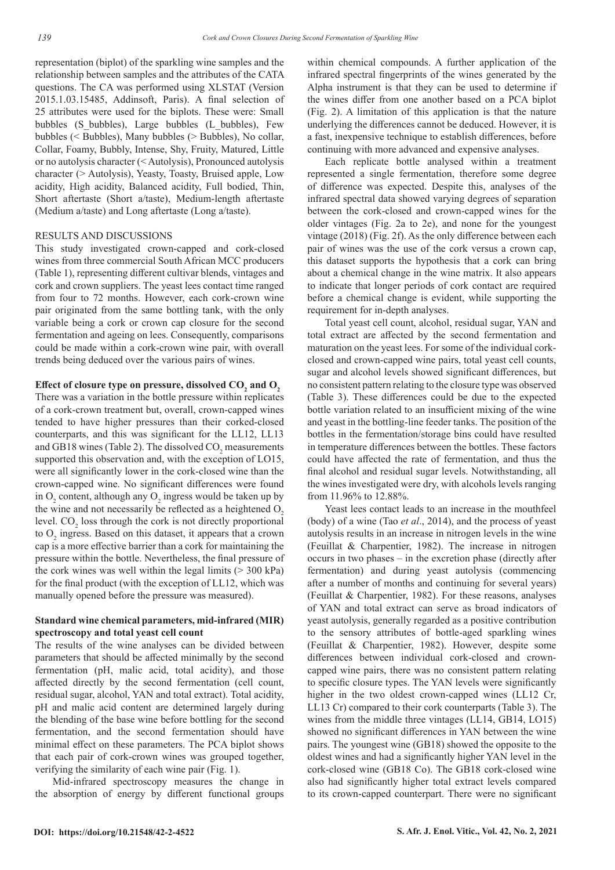representation (biplot) of the sparkling wine samples and the relationship between samples and the attributes of the CATA questions. The CA was performed using XLSTAT (Version 2015.1.03.15485, Addinsoft, Paris). A final selection of 25 attributes were used for the biplots. These were: Small bubbles (S\_bubbles), Large bubbles (L\_bubbles), Few bubbles (< Bubbles), Many bubbles (> Bubbles), No collar, Collar, Foamy, Bubbly, Intense, Shy, Fruity, Matured, Little or no autolysis character (< Autolysis), Pronounced autolysis character (> Autolysis), Yeasty, Toasty, Bruised apple, Low acidity, High acidity, Balanced acidity, Full bodied, Thin, Short aftertaste (Short a/taste), Medium-length aftertaste (Medium a/taste) and Long aftertaste (Long a/taste).

#### RESULTS AND DISCUSSIONS

This study investigated crown-capped and cork-closed wines from three commercial South African MCC producers (Table 1), representing different cultivar blends, vintages and cork and crown suppliers. The yeast lees contact time ranged from four to 72 months. However, each cork-crown wine pair originated from the same bottling tank, with the only variable being a cork or crown cap closure for the second fermentation and ageing on lees. Consequently, comparisons could be made within a cork-crown wine pair, with overall trends being deduced over the various pairs of wines.

## Effect of closure type on pressure, dissolved  $\text{CO}_\text{2}$  and  $\text{O}_\text{2}$

There was a variation in the bottle pressure within replicates of a cork-crown treatment but, overall, crown-capped wines tended to have higher pressures than their corked-closed counterparts, and this was significant for the LL12, LL13 and GB18 wines (Table 2). The dissolved  $\mathrm{CO}_2$  measurements supported this observation and, with the exception of LO15, were all significantly lower in the cork-closed wine than the crown-capped wine. No significant differences were found in  $O_2$  content, although any  $O_2$  ingress would be taken up by the wine and not necessarily be reflected as a heightened  $O<sub>2</sub>$ level.  $CO_2$  loss through the cork is not directly proportional to  $O_2$  ingress. Based on this dataset, it appears that a crown cap is a more effective barrier than a cork for maintaining the pressure within the bottle. Nevertheless, the final pressure of the cork wines was well within the legal limits  $(> 300 \text{ kPa})$ for the final product (with the exception of LL12, which was manually opened before the pressure was measured).

#### **Standard wine chemical parameters, mid-infrared (MIR) spectroscopy and total yeast cell count**

The results of the wine analyses can be divided between parameters that should be affected minimally by the second fermentation (pH, malic acid, total acidity), and those affected directly by the second fermentation (cell count, residual sugar, alcohol, YAN and total extract). Total acidity, pH and malic acid content are determined largely during the blending of the base wine before bottling for the second fermentation, and the second fermentation should have minimal effect on these parameters. The PCA biplot shows that each pair of cork-crown wines was grouped together, verifying the similarity of each wine pair (Fig. 1).

Mid-infrared spectroscopy measures the change in the absorption of energy by different functional groups within chemical compounds. A further application of the infrared spectral fingerprints of the wines generated by the Alpha instrument is that they can be used to determine if the wines differ from one another based on a PCA biplot (Fig. 2). A limitation of this application is that the nature underlying the differences cannot be deduced. However, it is a fast, inexpensive technique to establish differences, before continuing with more advanced and expensive analyses.

*Cork and Crown Closures During Second Fermentation of Sparkling Wine*

Each replicate bottle analysed within a treatment represented a single fermentation, therefore some degree of difference was expected. Despite this, analyses of the infrared spectral data showed varying degrees of separation between the cork-closed and crown-capped wines for the older vintages (Fig. 2a to 2e), and none for the youngest vintage (2018) (Fig. 2f). As the only difference between each pair of wines was the use of the cork versus a crown cap, this dataset supports the hypothesis that a cork can bring about a chemical change in the wine matrix. It also appears to indicate that longer periods of cork contact are required before a chemical change is evident, while supporting the requirement for in-depth analyses.

Total yeast cell count, alcohol, residual sugar, YAN and total extract are affected by the second fermentation and maturation on the yeast lees. For some of the individual corkclosed and crown-capped wine pairs, total yeast cell counts, sugar and alcohol levels showed significant differences, but no consistent pattern relating to the closure type was observed (Table 3). These differences could be due to the expected bottle variation related to an insufficient mixing of the wine and yeast in the bottling-line feeder tanks. The position of the bottles in the fermentation/storage bins could have resulted in temperature differences between the bottles. These factors could have affected the rate of fermentation, and thus the final alcohol and residual sugar levels. Notwithstanding, all the wines investigated were dry, with alcohols levels ranging from 11.96% to 12.88%.

Yeast lees contact leads to an increase in the mouthfeel (body) of a wine (Tao *et al*., 2014), and the process of yeast autolysis results in an increase in nitrogen levels in the wine (Feuillat & Charpentier, 1982). The increase in nitrogen occurs in two phases – in the excretion phase (directly after fermentation) and during yeast autolysis (commencing after a number of months and continuing for several years) (Feuillat & Charpentier, 1982). For these reasons, analyses of YAN and total extract can serve as broad indicators of yeast autolysis, generally regarded as a positive contribution to the sensory attributes of bottle-aged sparkling wines (Feuillat & Charpentier, 1982). However, despite some differences between individual cork-closed and crowncapped wine pairs, there was no consistent pattern relating to specific closure types. The YAN levels were significantly higher in the two oldest crown-capped wines (LL12 Cr, LL13 Cr) compared to their cork counterparts (Table 3). The wines from the middle three vintages (LL14, GB14, LO15) showed no significant differences in YAN between the wine pairs. The youngest wine (GB18) showed the opposite to the oldest wines and had a significantly higher YAN level in the cork-closed wine (GB18 Co). The GB18 cork-closed wine also had significantly higher total extract levels compared to its crown-capped counterpart. There were no significant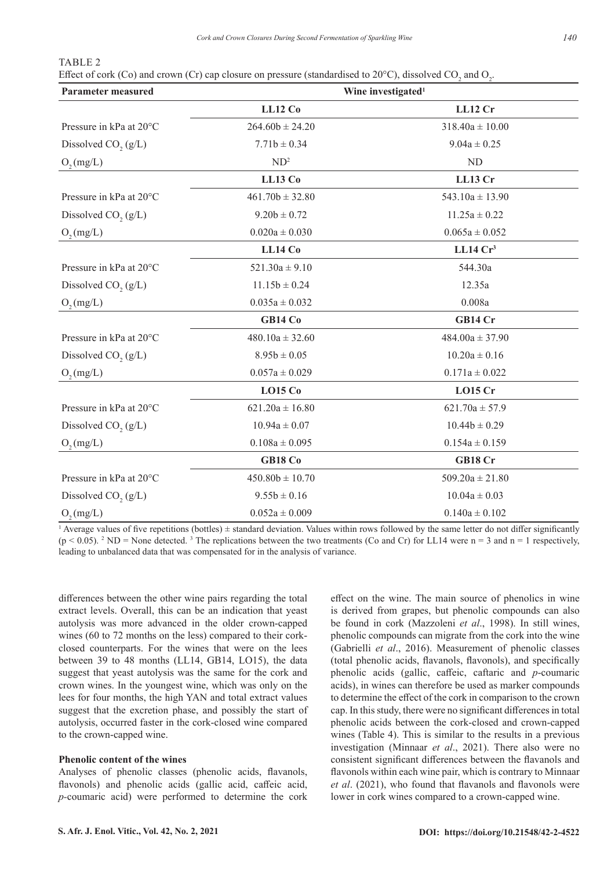TABLE 2

Effect of cork (Co) and crown (Cr) cap closure on pressure (standardised to 20°C), dissolved CO<sub>2</sub> and O<sub>2</sub>.

| <b>Parameter measured</b>           | Wine investigated <sup>1</sup> |                      |  |
|-------------------------------------|--------------------------------|----------------------|--|
|                                     | LL12 Co                        | LL12 Cr              |  |
| Pressure in kPa at 20°C             | $264.60b \pm 24.20$            | $318.40a \pm 10.00$  |  |
| Dissolved CO <sub>2</sub> ( $g/L$ ) | $7.71b \pm 0.34$               | $9.04a \pm 0.25$     |  |
| $O_2(mg/L)$                         | ND <sup>2</sup>                | ND                   |  |
|                                     | LL13 Co                        | LL13 Cr              |  |
| Pressure in kPa at 20°C             | $461.70b \pm 32.80$            | $543.10a \pm 13.90$  |  |
| Dissolved CO <sub>2</sub> $(g/L)$   | $9.20b \pm 0.72$               | $11.25a \pm 0.22$    |  |
| $O_2(mg/L)$                         | $0.020a \pm 0.030$             | $0.065a\pm0.052$     |  |
|                                     | LL14 Co                        | LL14 Cr <sup>3</sup> |  |
| Pressure in kPa at 20°C             | $521.30a \pm 9.10$             | 544.30a              |  |
| Dissolved CO <sub>2</sub> ( $g/L$ ) | $11.15b \pm 0.24$              | 12.35a               |  |
| $O_2(mg/L)$                         | $0.035a \pm 0.032$             | 0.008a               |  |
|                                     | GB14 Co                        | GB14 Cr              |  |
| Pressure in kPa at 20°C             | $480.10a \pm 32.60$            | $484.00a \pm 37.90$  |  |
| Dissolved CO <sub>2</sub> ( $g/L$ ) | $8.95b \pm 0.05$               | $10.20a \pm 0.16$    |  |
| $O_2(mg/L)$                         | $0.057a \pm 0.029$             | $0.171a \pm 0.022$   |  |
|                                     | LO15C <sub>0</sub>             | LO15 Cr              |  |
| Pressure in kPa at 20°C             | $621.20a \pm 16.80$            | $621.70a \pm 57.9$   |  |
| Dissolved CO <sub>2</sub> $(g/L)$   | $10.94a \pm 0.07$              | $10.44b \pm 0.29$    |  |
| $O$ <sub>2</sub> $(mg/L)$           | $0.108a \pm 0.095$             | $0.154a \pm 0.159$   |  |
|                                     | GB18 Co                        | GB18 Cr              |  |
| Pressure in kPa at 20°C             | $450.80b \pm 10.70$            | $509.20a \pm 21.80$  |  |
| Dissolved CO <sub>2</sub> $(g/L)$   | $9.55b \pm 0.16$               | $10.04a \pm 0.03$    |  |
| $O$ <sub>2</sub> $(mg/L)$           | $0.052a \pm 0.009$             | $0.140a \pm 0.102$   |  |

<sup>1</sup> Average values of five repetitions (bottles)  $\pm$  standard deviation. Values within rows followed by the same letter do not differ significantly  $(p \le 0.05)$ . <sup>2</sup> ND = None detected. <sup>3</sup> The replications between the two treatments (Co and Cr) for LL14 were n = 3 and n = 1 respectively, leading to unbalanced data that was compensated for in the analysis of variance.

differences between the other wine pairs regarding the total extract levels. Overall, this can be an indication that yeast autolysis was more advanced in the older crown-capped wines (60 to 72 months on the less) compared to their corkclosed counterparts. For the wines that were on the lees between 39 to 48 months (LL14, GB14, LO15), the data suggest that yeast autolysis was the same for the cork and crown wines. In the youngest wine, which was only on the lees for four months, the high YAN and total extract values suggest that the excretion phase, and possibly the start of autolysis, occurred faster in the cork-closed wine compared to the crown-capped wine.

#### **Phenolic content of the wines**

Analyses of phenolic classes (phenolic acids, flavanols, flavonols) and phenolic acids (gallic acid, caffeic acid, *p-*coumaric acid) were performed to determine the cork

effect on the wine. The main source of phenolics in wine is derived from grapes, but phenolic compounds can also be found in cork (Mazzoleni *et al*., 1998). In still wines, phenolic compounds can migrate from the cork into the wine (Gabrielli *et al*., 2016). Measurement of phenolic classes (total phenolic acids, flavanols, flavonols), and specifically phenolic acids (gallic, caffeic, caftaric and *p*-coumaric acids), in wines can therefore be used as marker compounds to determine the effect of the cork in comparison to the crown cap. In this study, there were no significant differences in total phenolic acids between the cork-closed and crown-capped wines (Table 4). This is similar to the results in a previous investigation (Minnaar *et al*., 2021). There also were no consistent significant differences between the flavanols and flavonols within each wine pair, which is contrary to Minnaar *et al*. (2021), who found that flavanols and flavonols were lower in cork wines compared to a crown-capped wine.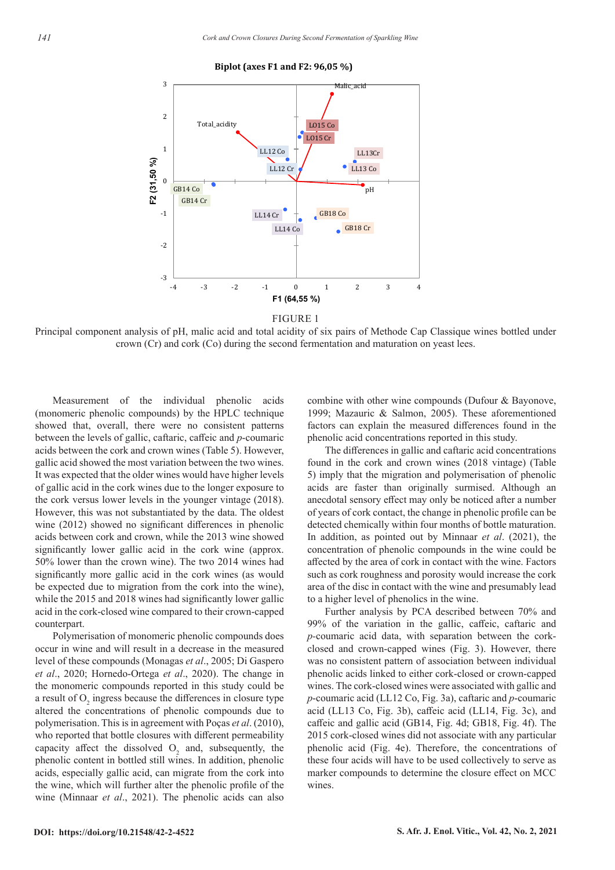

#### **Biplot (axes F1 and F2: 96,05 %)**



Principal component analysis of pH, malic acid and total acidity of six pairs of Methode Cap Classique wines bottled under crown (Cr) and cork (Co) during the second fermentation and maturation on yeast lees.

Measurement of the individual phenolic acids (monomeric phenolic compounds) by the HPLC technique showed that, overall, there were no consistent patterns between the levels of gallic, caftaric, caffeic and *p*-coumaric acids between the cork and crown wines (Table 5). However, gallic acid showed the most variation between the two wines. It was expected that the older wines would have higher levels of gallic acid in the cork wines due to the longer exposure to the cork versus lower levels in the younger vintage (2018). However, this was not substantiated by the data. The oldest wine (2012) showed no significant differences in phenolic acids between cork and crown, while the 2013 wine showed significantly lower gallic acid in the cork wine (approx. 50% lower than the crown wine). The two 2014 wines had significantly more gallic acid in the cork wines (as would be expected due to migration from the cork into the wine), while the 2015 and 2018 wines had significantly lower gallic acid in the cork-closed wine compared to their crown-capped counterpart.

Polymerisation of monomeric phenolic compounds does occur in wine and will result in a decrease in the measured level of these compounds (Monagas *et al*., 2005; Di Gaspero *et al*., 2020; Hornedo-Ortega *et al*., 2020). The change in the monomeric compounds reported in this study could be a result of  $O_2$  ingress because the differences in closure type altered the concentrations of phenolic compounds due to polymerisation. This is in agreement with Poças *et al*. (2010), who reported that bottle closures with different permeability capacity affect the dissolved  $O_2$  and, subsequently, the phenolic content in bottled still wines. In addition, phenolic acids, especially gallic acid, can migrate from the cork into the wine, which will further alter the phenolic profile of the wine (Minnaar *et al*., 2021). The phenolic acids can also

combine with other wine compounds (Dufour & Bayonove, 1999; Mazauric & Salmon, 2005). These aforementioned factors can explain the measured differences found in the phenolic acid concentrations reported in this study.

The differences in gallic and caftaric acid concentrations found in the cork and crown wines (2018 vintage) (Table 5) imply that the migration and polymerisation of phenolic acids are faster than originally surmised. Although an anecdotal sensory effect may only be noticed after a number of years of cork contact, the change in phenolic profile can be detected chemically within four months of bottle maturation. In addition, as pointed out by Minnaar *et al*. (2021), the concentration of phenolic compounds in the wine could be affected by the area of cork in contact with the wine. Factors such as cork roughness and porosity would increase the cork area of the disc in contact with the wine and presumably lead to a higher level of phenolics in the wine.

Further analysis by PCA described between 70% and 99% of the variation in the gallic, caffeic, caftaric and *p-*coumaric acid data, with separation between the corkclosed and crown-capped wines (Fig. 3). However, there was no consistent pattern of association between individual phenolic acids linked to either cork-closed or crown-capped wines. The cork-closed wines were associated with gallic and *p*-coumaric acid (LL12 Co, Fig. 3a), caftaric and *p*-coumaric acid (LL13 Co, Fig. 3b), caffeic acid (LL14, Fig. 3c), and caffeic and gallic acid (GB14, Fig. 4d; GB18, Fig. 4f). The 2015 cork-closed wines did not associate with any particular phenolic acid (Fig. 4e). Therefore, the concentrations of these four acids will have to be used collectively to serve as marker compounds to determine the closure effect on MCC wines.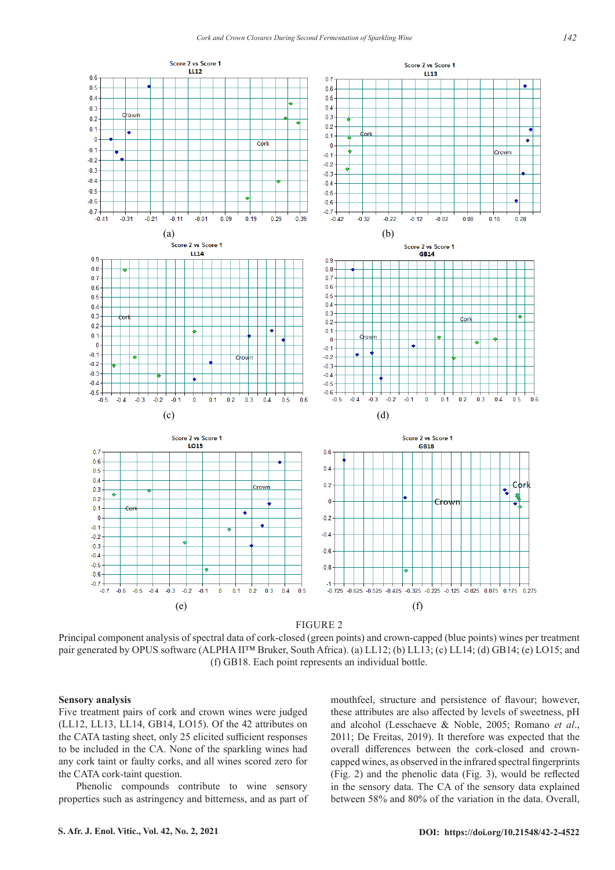

FIGURE 2

Principal component analysis of spectral data of cork-closed (green points) and crown-capped (blue points) wines per treatment pair generated by OPUS software (ALPHA II™ Bruker, South Africa). (a) LL12; (b) LL13; (c) LL14; (d) GB14; (e) LO15; and (f) GB18. Each point represents an individual bottle.

#### **Sensory analysis**

Five treatment pairs of cork and crown wines were judged (LL12, LL13, LL14, GB14, LO15). Of the 42 attributes on the CATA tasting sheet, only 25 elicited sufficient responses to be included in the CA. None of the sparkling wines had any cork taint or faulty corks, and all wines scored zero for the CATA cork-taint question.

Phenolic compounds contribute to wine sensory properties such as astringency and bitterness, and as part of mouthfeel, structure and persistence of flavour; however, these attributes are also affected by levels of sweetness, pH and alcohol (Lesschaeve & Noble, 2005; Romano *et al*., 2011; De Freitas, 2019). It therefore was expected that the overall differences between the cork-closed and crowncapped wines, as observed in the infrared spectral fingerprints (Fig. 2) and the phenolic data (Fig. 3), would be reflected in the sensory data. The CA of the sensory data explained between 58% and 80% of the variation in the data. Overall,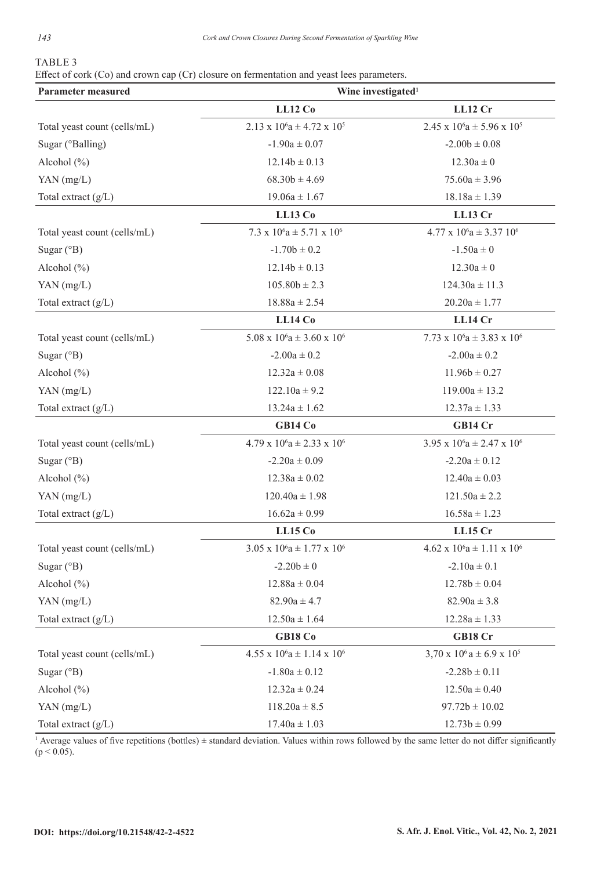## TABLE 3

Effect of cork (Co) and crown cap (Cr) closure on fermentation and yeast lees parameters.

| <b>Parameter measured</b>    | Wine investigated <sup>1</sup>               |                                               |  |
|------------------------------|----------------------------------------------|-----------------------------------------------|--|
|                              | LL12 Co                                      | LL12 Cr                                       |  |
| Total yeast count (cells/mL) | $2.13 \times 10^{6}a \pm 4.72 \times 10^{5}$ | $2.45 \times 10^{6}a \pm 5.96 \times 10^{5}$  |  |
| Sugar (°Balling)             | $-1.90a \pm 0.07$                            | $-2.00b \pm 0.08$                             |  |
| Alcohol $(\% )$              | $12.14b \pm 0.13$                            | $12.30a \pm 0$                                |  |
| YAN $(mg/L)$                 | $68.30b \pm 4.69$                            | $75.60a \pm 3.96$                             |  |
| Total extract $(g/L)$        | $19.06a \pm 1.67$                            | $18.18a \pm 1.39$                             |  |
|                              | LL13 Co                                      | LL13 Cr                                       |  |
| Total yeast count (cells/mL) | $7.3 \times 10^6 a \pm 5.71 \times 10^6$     | $4.77 \times 10^{6}a \pm 3.37 10^{6}$         |  |
| Sugar $(^{\circ}B)$          | $-1.70b \pm 0.2$                             | $-1.50a \pm 0$                                |  |
| Alcohol $(\% )$              | $12.14b \pm 0.13$                            | $12.30a \pm 0$                                |  |
| $YAN$ (mg/L)                 | $105.80b \pm 2.3$                            | $124.30a \pm 11.3$                            |  |
| Total extract $(g/L)$        | $18.88a \pm 2.54$                            | $20.20a \pm 1.77$                             |  |
|                              | LL14 Co                                      | LL14 Cr                                       |  |
| Total yeast count (cells/mL) | $5.08 \times 10^{6}a \pm 3.60 \times 10^{6}$ | $7.73 \times 10^6$ a ± 3.83 x 10 <sup>6</sup> |  |
| Sugar $(^{\circ}B)$          | $-2.00a \pm 0.2$                             | $-2.00a \pm 0.2$                              |  |
| Alcohol $(\% )$              | $12.32a \pm 0.08$                            | $11.96b \pm 0.27$                             |  |
| $YAN$ (mg/L)                 | $122.10a \pm 9.2$                            | $119.00a \pm 13.2$                            |  |
| Total extract $(g/L)$        | $13.24a \pm 1.62$                            | $12.37a \pm 1.33$                             |  |
|                              | GB14 Co                                      | GB14 Cr                                       |  |
| Total yeast count (cells/mL) | $4.79 \times 10^{6}a \pm 2.33 \times 10^{6}$ | $3.95 \times 10^{6}a \pm 2.47 \times 10^{6}$  |  |
| Sugar $(^{\circ}B)$          | $-2.20a \pm 0.09$                            | $-2.20a \pm 0.12$                             |  |
| Alcohol $(\% )$              | $12.38a \pm 0.02$                            | $12.40a \pm 0.03$                             |  |
| YAN $(mg/L)$                 | $120.40a \pm 1.98$                           | $121.50a \pm 2.2$                             |  |
| Total extract (g/L)          | $16.62a \pm 0.99$                            | $16.58a \pm 1.23$                             |  |
|                              | LL15 Co                                      | LL15 Cr                                       |  |
| Total yeast count (cells/mL) | 3.05 x $10^6$ a ± 1.77 x $10^6$              | $4.62 \times 10^{6}a \pm 1.11 \times 10^{6}$  |  |
| Sugar $(^{\circ}B)$          | $-2.20b \pm 0$                               | $-2.10a \pm 0.1$                              |  |
| Alcohol $(\% )$              | $12.88a \pm 0.04$                            | $12.78b \pm 0.04$                             |  |
| $YAN$ (mg/L)                 | $82.90a \pm 4.7$                             | $82.90a \pm 3.8$                              |  |
| Total extract $(g/L)$        | $12.50a \pm 1.64$                            | $12.28a \pm 1.33$                             |  |
|                              | GB18 Co                                      | GB18 Cr                                       |  |
| Total yeast count (cells/mL) | $4.55 \times 10^{6}a \pm 1.14 \times 10^{6}$ | $3,70 \times 10^6$ a $\pm 6.9 \times 10^5$    |  |
| Sugar $(^{\circ}B)$          | $-1.80a \pm 0.12$                            | $-2.28b \pm 0.11$                             |  |
| Alcohol $(\% )$              | $12.32a \pm 0.24$                            | $12.50a \pm 0.40$                             |  |
| YAN $(mg/L)$                 | $118.20a \pm 8.5$                            | $97.72b \pm 10.02$                            |  |
| Total extract (g/L)          | $17.40a \pm 1.03$                            | $12.73b \pm 0.99$                             |  |

<sup>1</sup> Average values of five repetitions (bottles)  $\pm$  standard deviation. Values within rows followed by the same letter do not differ significantly  $(p < 0.05)$ .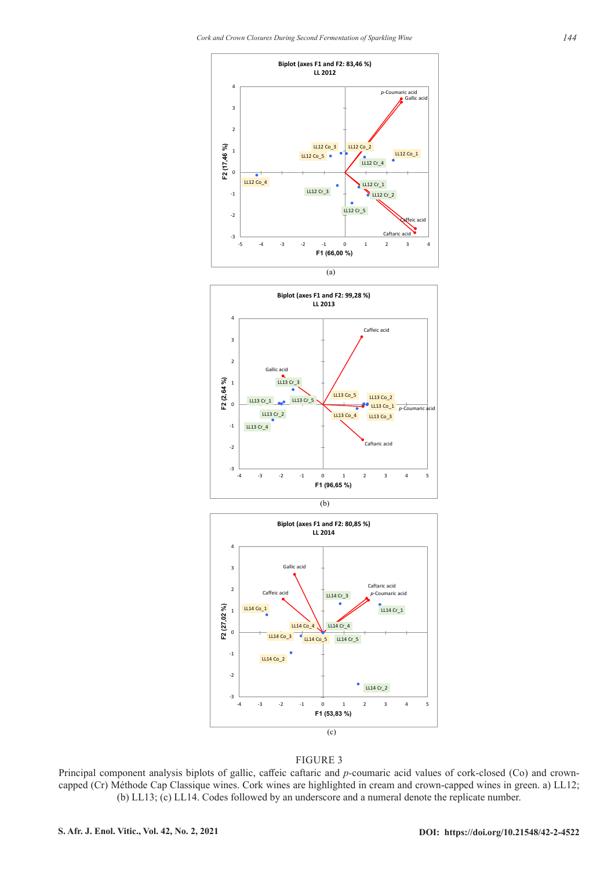



#### FIGURE 3

Principal component analysis biplots of gallic, caffeic caftaric and *p-*coumaric acid values of cork-closed (Co) and crowncapped (Cr) Méthode Cap Classique wines. Cork wines are highlighted in cream and crown-capped wines in green. a) LL12; (b) LL13; (c) LL14. Codes followed by an underscore and a numeral denote the replicate number.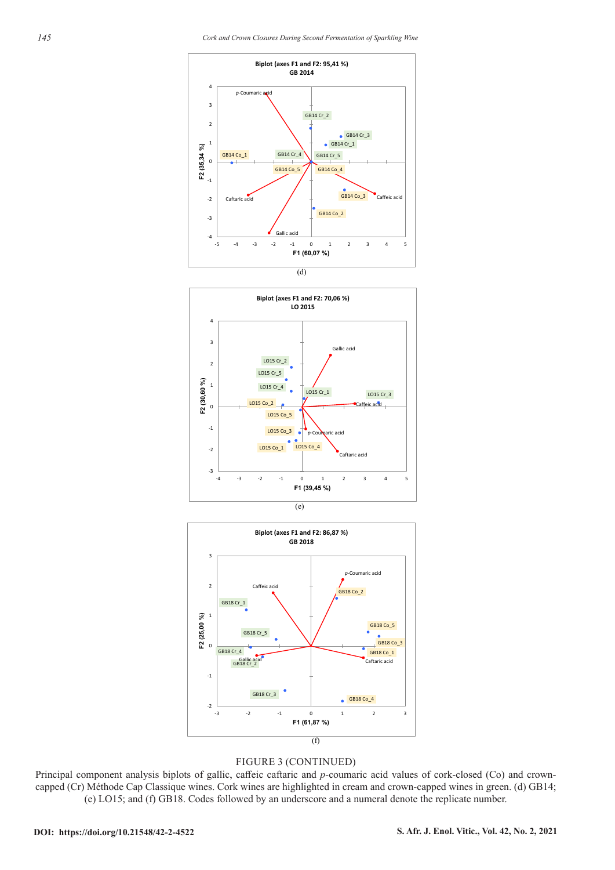





#### FIGURE 3 (CONTINUED)

Principal component analysis biplots of gallic, caffeic caftaric and *p-*coumaric acid values of cork-closed (Co) and crowncapped (Cr) Méthode Cap Classique wines. Cork wines are highlighted in cream and crown-capped wines in green. (d) GB14; (e) LO15; and (f) GB18. Codes followed by an underscore and a numeral denote the replicate number.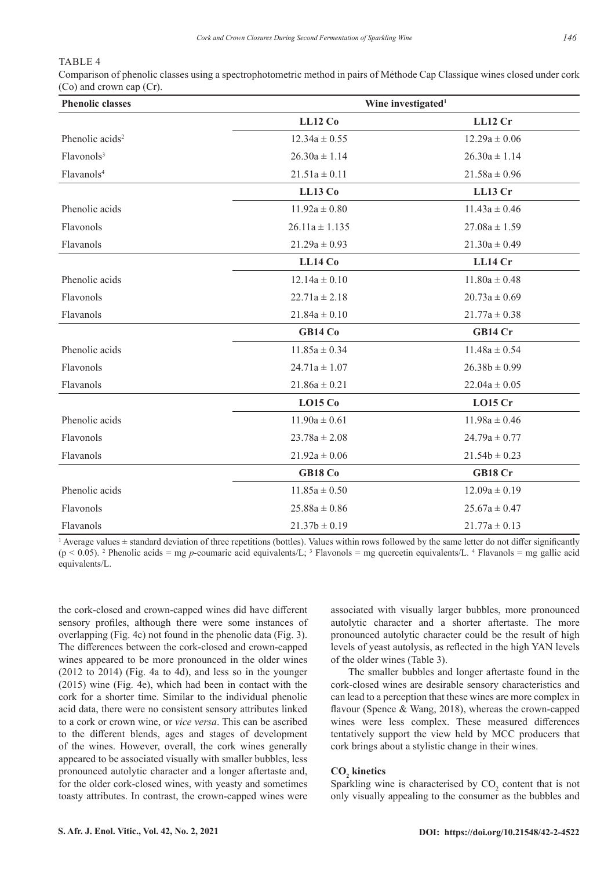#### TABLE 4

Comparison of phenolic classes using a spectrophotometric method in pairs of Méthode Cap Classique wines closed under cork (Co) and crown cap (Cr).

| <b>Phenolic classes</b>     | Wine investigated <sup>1</sup> |                   |
|-----------------------------|--------------------------------|-------------------|
|                             | LL12 Co                        | LL12 Cr           |
| Phenolic acids <sup>2</sup> | $12.34a \pm 0.55$              | $12.29a \pm 0.06$ |
| Flavonols <sup>3</sup>      | $26.30a \pm 1.14$              | $26.30a \pm 1.14$ |
| Flavanols <sup>4</sup>      | $21.51a \pm 0.11$              | $21.58a \pm 0.96$ |
|                             | LL13 Co                        | LL13 Cr           |
| Phenolic acids              | $11.92a \pm 0.80$              | $11.43a \pm 0.46$ |
| Flavonols                   | $26.11a \pm 1.135$             | $27.08a \pm 1.59$ |
| Flavanols                   | $21.29a \pm 0.93$              | $21.30a \pm 0.49$ |
|                             | LL14 Co                        | LL14 Cr           |
| Phenolic acids              | $12.14a \pm 0.10$              | $11.80a \pm 0.48$ |
| Flavonols                   | $22.71a \pm 2.18$              | $20.73a \pm 0.69$ |
| Flavanols                   | $21.84a \pm 0.10$              | $21.77a \pm 0.38$ |
|                             | GB14 Co                        | GB14 Cr           |
| Phenolic acids              | $11.85a \pm 0.34$              | $11.48a \pm 0.54$ |
| Flavonols                   | $24.71a \pm 1.07$              | $26.38b \pm 0.99$ |
| Flavanols                   | $21.86a \pm 0.21$              | $22.04a \pm 0.05$ |
|                             | LO15C <sub>0</sub>             | $LO$ 15 Cr        |
| Phenolic acids              | $11.90a \pm 0.61$              | $11.98a \pm 0.46$ |
| Flavonols                   | $23.78a \pm 2.08$              | $24.79a \pm 0.77$ |
| Flavanols                   | $21.92a \pm 0.06$              | $21.54b \pm 0.23$ |
|                             | GB18 Co                        | GB18 Cr           |
| Phenolic acids              | $11.85a \pm 0.50$              | $12.09a \pm 0.19$ |
| Flavonols                   | $25.88a \pm 0.86$              | $25.67a \pm 0.47$ |
| Flavanols                   | $21.37b \pm 0.19$              | $21.77a \pm 0.13$ |

<sup>1</sup> Average values  $\pm$  standard deviation of three repetitions (bottles). Values within rows followed by the same letter do not differ significantly (p < 0.05). 2 Phenolic acids = mg *p*-coumaric acid equivalents/L; <sup>3</sup> Flavonols = mg quercetin equivalents/L. <sup>4</sup> Flavanols = mg gallic acid equivalents/L.

the cork-closed and crown-capped wines did have different sensory profiles, although there were some instances of overlapping (Fig. 4c) not found in the phenolic data (Fig. 3). The differences between the cork-closed and crown-capped wines appeared to be more pronounced in the older wines (2012 to 2014) (Fig. 4a to 4d), and less so in the younger (2015) wine (Fig. 4e), which had been in contact with the cork for a shorter time. Similar to the individual phenolic acid data, there were no consistent sensory attributes linked to a cork or crown wine, or *vice versa*. This can be ascribed to the different blends, ages and stages of development of the wines. However, overall, the cork wines generally appeared to be associated visually with smaller bubbles, less pronounced autolytic character and a longer aftertaste and, for the older cork-closed wines, with yeasty and sometimes toasty attributes. In contrast, the crown-capped wines were

associated with visually larger bubbles, more pronounced autolytic character and a shorter aftertaste. The more pronounced autolytic character could be the result of high levels of yeast autolysis, as reflected in the high YAN levels of the older wines (Table 3).

The smaller bubbles and longer aftertaste found in the cork-closed wines are desirable sensory characteristics and can lead to a perception that these wines are more complex in flavour (Spence & Wang, 2018), whereas the crown-capped wines were less complex. These measured differences tentatively support the view held by MCC producers that cork brings about a stylistic change in their wines.

### CO<sub>2</sub> kinetics

Sparkling wine is characterised by  $CO_2$  content that is not only visually appealing to the consumer as the bubbles and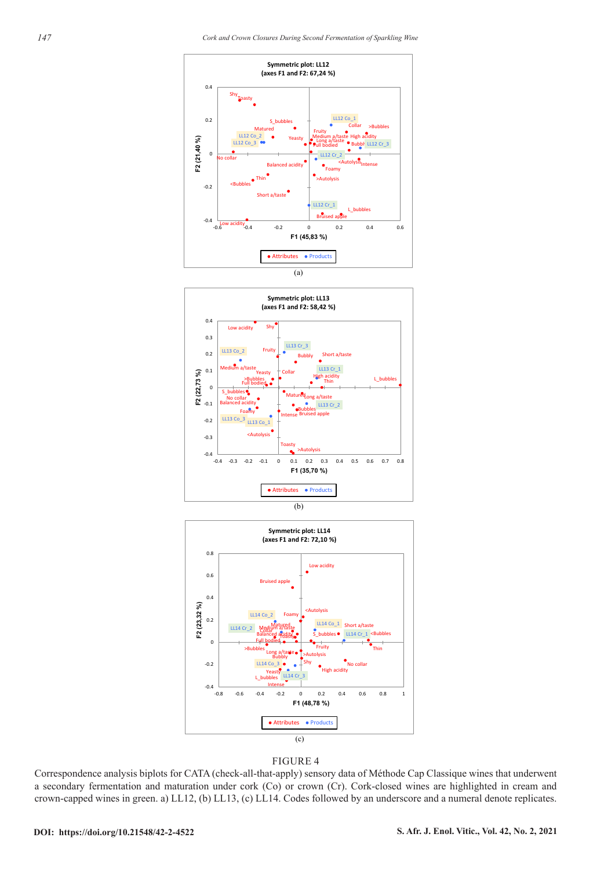





#### FIGURE 4

Correspondence analysis biplots for CATA (check-all-that-apply) sensory data of Méthode Cap Classique wines that underwent a secondary fermentation and maturation under cork (Co) or crown (Cr). Cork-closed wines are highlighted in cream and crown-capped wines in green. a) LL12, (b) LL13, (c) LL14. Codes followed by an underscore and a numeral denote replicates.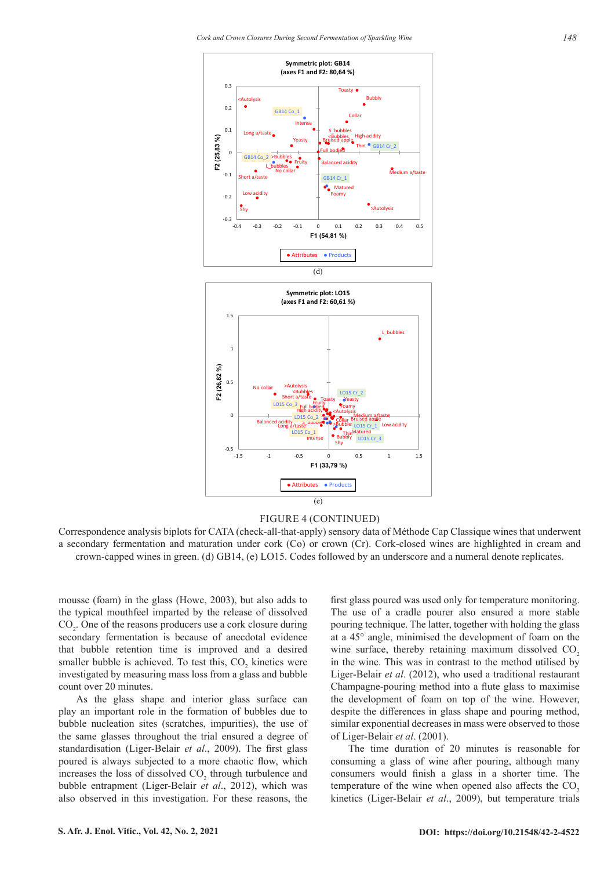

#### FIGURE 4 (CONTINUED)

Correspondence analysis biplots for CATA (check-all-that-apply) sensory data of Méthode Cap Classique wines that underwent a secondary fermentation and maturation under cork (Co) or crown (Cr). Cork-closed wines are highlighted in cream and crown-capped wines in green. (d) GB14, (e) LO15. Codes followed by an underscore and a numeral denote replicates.

mousse (foam) in the glass (Howe, 2003), but also adds to the typical mouthfeel imparted by the release of dissolved  $CO<sub>2</sub>$ . One of the reasons producers use a cork closure during secondary fermentation is because of anecdotal evidence that bubble retention time is improved and a desired smaller bubble is achieved. To test this,  $CO_2$  kinetics were investigated by measuring mass loss from a glass and bubble count over 20 minutes.

As the glass shape and interior glass surface can play an important role in the formation of bubbles due to bubble nucleation sites (scratches, impurities), the use of the same glasses throughout the trial ensured a degree of standardisation (Liger-Belair *et al*., 2009). The first glass poured is always subjected to a more chaotic flow, which increases the loss of dissolved  $CO_2$  through turbulence and bubble entrapment (Liger-Belair *et al*., 2012), which was also observed in this investigation. For these reasons, the

first glass poured was used only for temperature monitoring. The use of a cradle pourer also ensured a more stable pouring technique. The latter, together with holding the glass at a 45° angle, minimised the development of foam on the wine surface, thereby retaining maximum dissolved CO<sub>2</sub> in the wine. This was in contrast to the method utilised by Liger-Belair *et al*. (2012), who used a traditional restaurant Champagne-pouring method into a flute glass to maximise the development of foam on top of the wine. However, despite the differences in glass shape and pouring method, similar exponential decreases in mass were observed to those of Liger-Belair *et al*. (2001).

The time duration of 20 minutes is reasonable for consuming a glass of wine after pouring, although many consumers would finish a glass in a shorter time. The temperature of the wine when opened also affects the  $CO<sub>2</sub>$ kinetics (Liger-Belair *et al*., 2009), but temperature trials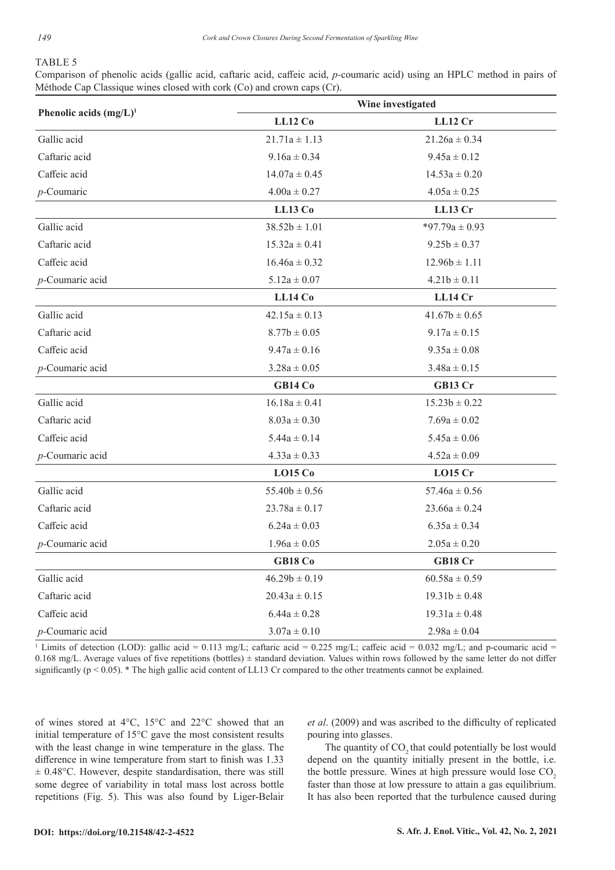## TABLE 5

Comparison of phenolic acids (gallic acid, caftaric acid, caffeic acid, *p-*coumaric acid) using an HPLC method in pairs of Méthode Cap Classique wines closed with cork (Co) and crown caps (Cr).

|                           | Wine investigated  |                     |
|---------------------------|--------------------|---------------------|
| Phenolic acids $(mg/L)^1$ | LL12 Co            | LL12 Cr             |
| Gallic acid               | $21.71a \pm 1.13$  | $21.26a \pm 0.34$   |
| Caftaric acid             | $9.16a \pm 0.34$   | $9.45a \pm 0.12$    |
| Caffeic acid              | $14.07a \pm 0.45$  | $14.53a \pm 0.20$   |
| $p$ -Coumaric             | $4.00a \pm 0.27$   | $4.05a \pm 0.25$    |
|                           | LL13C <sub>0</sub> | LL13 Cr             |
| Gallic acid               | $38.52b \pm 1.01$  | *97.79 $a \pm 0.93$ |
| Caftaric acid             | $15.32a \pm 0.41$  | $9.25b \pm 0.37$    |
| Caffeic acid              | $16.46a \pm 0.32$  | $12.96b \pm 1.11$   |
| p-Coumaric acid           | $5.12a \pm 0.07$   | $4.21b \pm 0.11$    |
|                           | LL14 Co            | LL14 Cr             |
| Gallic acid               | $42.15a \pm 0.13$  | $41.67b \pm 0.65$   |
| Caftaric acid             | $8.77b \pm 0.05$   | $9.17a \pm 0.15$    |
| Caffeic acid              | $9.47a \pm 0.16$   | $9.35a \pm 0.08$    |
| $p$ -Coumaric acid        | $3.28a \pm 0.05$   | $3.48a \pm 0.15$    |
|                           | GB14 Co            | GB13 Cr             |
| Gallic acid               | $16.18a \pm 0.41$  | $15.23b \pm 0.22$   |
| Caftaric acid             | $8.03a \pm 0.30$   | $7.69a \pm 0.02$    |
| Caffeic acid              | $5.44a \pm 0.14$   | $5.45a \pm 0.06$    |
| p-Coumaric acid           | $4.33a \pm 0.33$   | $4.52a \pm 0.09$    |
|                           | LO15C <sub>0</sub> | $LO15$ Cr           |
| Gallic acid               | $55.40b \pm 0.56$  | $57.46a \pm 0.56$   |
| Caftaric acid             | $23.78a \pm 0.17$  | $23.66a \pm 0.24$   |
| Caffeic acid              | $6.24a \pm 0.03$   | $6.35a \pm 0.34$    |
| $p$ -Coumaric acid        | $1.96a \pm 0.05$   | $2.05a \pm 0.20$    |
|                           | GB18 Co            | GB18 Cr             |
| Gallic acid               | $46.29b \pm 0.19$  | $60.58a \pm 0.59$   |
| Caftaric acid             | $20.43a \pm 0.15$  | $19.31b \pm 0.48$   |
| Caffeic acid              | $6.44a \pm 0.28$   | $19.31a \pm 0.48$   |
| $p$ -Coumaric acid        | $3.07a \pm 0.10$   | $2.98a \pm 0.04$    |

<sup>1</sup> Limits of detection (LOD): gallic acid = 0.113 mg/L; caftaric acid = 0.225 mg/L; caffeic acid = 0.032 mg/L; and p-coumaric acid = 0.168 mg/L. Average values of five repetitions (bottles)  $\pm$  standard deviation. Values within rows followed by the same letter do not differ significantly ( $p < 0.05$ ). \* The high gallic acid content of LL13 Cr compared to the other treatments cannot be explained.

of wines stored at 4°C, 15°C and 22°C showed that an initial temperature of 15°C gave the most consistent results with the least change in wine temperature in the glass. The difference in wine temperature from start to finish was 1.33  $\pm$  0.48°C. However, despite standardisation, there was still some degree of variability in total mass lost across bottle repetitions (Fig. 5). This was also found by Liger-Belair *et al*. (2009) and was ascribed to the difficulty of replicated pouring into glasses.

The quantity of CO<sub>2</sub> that could potentially be lost would depend on the quantity initially present in the bottle, i.e. the bottle pressure. Wines at high pressure would lose CO<sub>2</sub> faster than those at low pressure to attain a gas equilibrium. It has also been reported that the turbulence caused during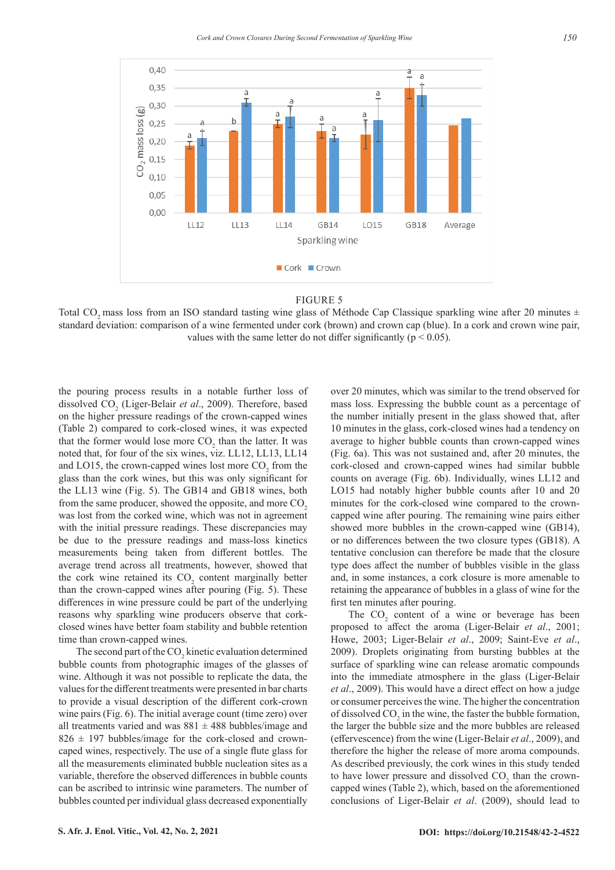

FIGURE 5

Total CO<sub>2</sub> mass loss from an ISO standard tasting wine glass of Méthode Cap Classique sparkling wine after 20 minutes  $\pm$ standard deviation: comparison of a wine fermented under cork (brown) and crown cap (blue). In a cork and crown wine pair, values with the same letter do not differ significantly ( $p < 0.05$ ).

the pouring process results in a notable further loss of dissolved CO<sub>2</sub> (Liger-Belair *et al.*, 2009). Therefore, based on the higher pressure readings of the crown-capped wines (Table 2) compared to cork-closed wines, it was expected that the former would lose more  $CO_2$  than the latter. It was noted that, for four of the six wines, viz. LL12, LL13, LL14 and LO15, the crown-capped wines lost more  $CO_2$  from the glass than the cork wines, but this was only significant for the LL13 wine (Fig. 5). The GB14 and GB18 wines, both from the same producer, showed the opposite, and more  $CO<sub>2</sub>$ was lost from the corked wine, which was not in agreement with the initial pressure readings. These discrepancies may be due to the pressure readings and mass-loss kinetics measurements being taken from different bottles. The average trend across all treatments, however, showed that the cork wine retained its  $CO_2$  content marginally better than the crown-capped wines after pouring (Fig. 5). These differences in wine pressure could be part of the underlying reasons why sparkling wine producers observe that corkclosed wines have better foam stability and bubble retention time than crown-capped wines.

The second part of the  $CO<sub>2</sub>$  kinetic evaluation determined bubble counts from photographic images of the glasses of wine. Although it was not possible to replicate the data, the values for the different treatments were presented in bar charts to provide a visual description of the different cork-crown wine pairs (Fig. 6). The initial average count (time zero) over all treatments varied and was  $881 \pm 488$  bubbles/image and  $826 \pm 197$  bubbles/image for the cork-closed and crowncaped wines, respectively. The use of a single flute glass for all the measurements eliminated bubble nucleation sites as a variable, therefore the observed differences in bubble counts can be ascribed to intrinsic wine parameters. The number of bubbles counted per individual glass decreased exponentially

over 20 minutes, which was similar to the trend observed for mass loss. Expressing the bubble count as a percentage of the number initially present in the glass showed that, after 10 minutes in the glass, cork-closed wines had a tendency on average to higher bubble counts than crown-capped wines (Fig. 6a). This was not sustained and, after 20 minutes, the cork-closed and crown-capped wines had similar bubble counts on average (Fig. 6b). Individually, wines LL12 and LO15 had notably higher bubble counts after 10 and 20 minutes for the cork-closed wine compared to the crowncapped wine after pouring. The remaining wine pairs either showed more bubbles in the crown-capped wine (GB14), or no differences between the two closure types (GB18). A tentative conclusion can therefore be made that the closure type does affect the number of bubbles visible in the glass and, in some instances, a cork closure is more amenable to retaining the appearance of bubbles in a glass of wine for the first ten minutes after pouring.

The  $CO<sub>2</sub>$  content of a wine or beverage has been proposed to affect the aroma (Liger-Belair *et al*., 2001; Howe, 2003; Liger-Belair *et al*., 2009; Saint-Eve *et al*., 2009). Droplets originating from bursting bubbles at the surface of sparkling wine can release aromatic compounds into the immediate atmosphere in the glass (Liger-Belair *et al*., 2009). This would have a direct effect on how a judge or consumer perceives the wine. The higher the concentration of dissolved  $CO_2$  in the wine, the faster the bubble formation, the larger the bubble size and the more bubbles are released (effervescence) from the wine (Liger-Belair *et al*., 2009), and therefore the higher the release of more aroma compounds. As described previously, the cork wines in this study tended to have lower pressure and dissolved  $CO_2$  than the crowncapped wines (Table 2), which, based on the aforementioned conclusions of Liger-Belair *et al*. (2009), should lead to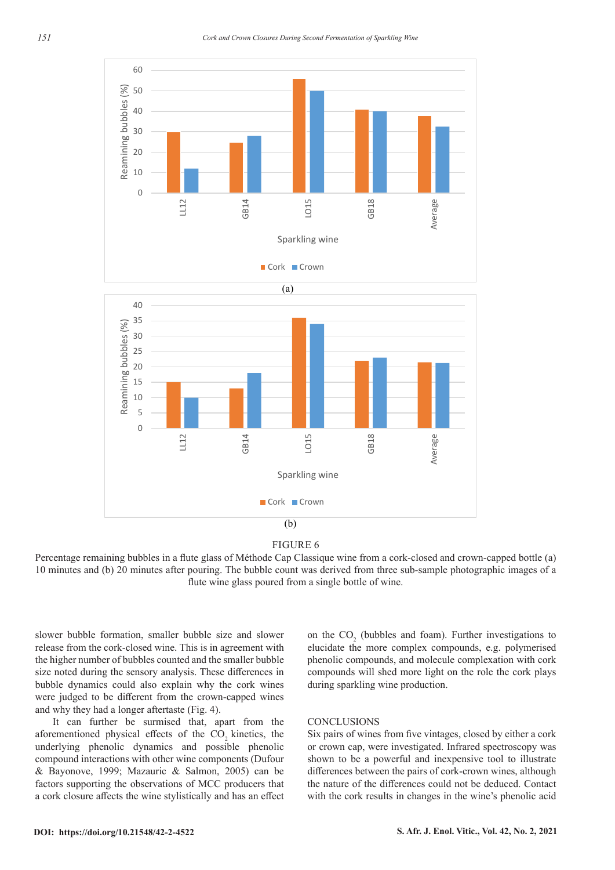



Percentage remaining bubbles in a flute glass of Méthode Cap Classique wine from a cork-closed and crown-capped bottle (a) 10 minutes and (b) 20 minutes after pouring. The bubble count was derived from three sub-sample photographic images of a flute wine glass poured from a single bottle of wine.

slower bubble formation, smaller bubble size and slower release from the cork-closed wine. This is in agreement with the higher number of bubbles counted and the smaller bubble size noted during the sensory analysis. These differences in bubble dynamics could also explain why the cork wines were judged to be different from the crown-capped wines and why they had a longer aftertaste (Fig. 4).

It can further be surmised that, apart from the aforementioned physical effects of the CO<sub>2</sub> kinetics, the underlying phenolic dynamics and possible phenolic compound interactions with other wine components (Dufour & Bayonove, 1999; Mazauric & Salmon, 2005) can be factors supporting the observations of MCC producers that a cork closure affects the wine stylistically and has an effect

on the  $CO_2$  (bubbles and foam). Further investigations to elucidate the more complex compounds, e.g. polymerised phenolic compounds, and molecule complexation with cork compounds will shed more light on the role the cork plays during sparkling wine production.

#### **CONCLUSIONS**

Six pairs of wines from five vintages, closed by either a cork or crown cap, were investigated. Infrared spectroscopy was shown to be a powerful and inexpensive tool to illustrate differences between the pairs of cork-crown wines, although the nature of the differences could not be deduced. Contact with the cork results in changes in the wine's phenolic acid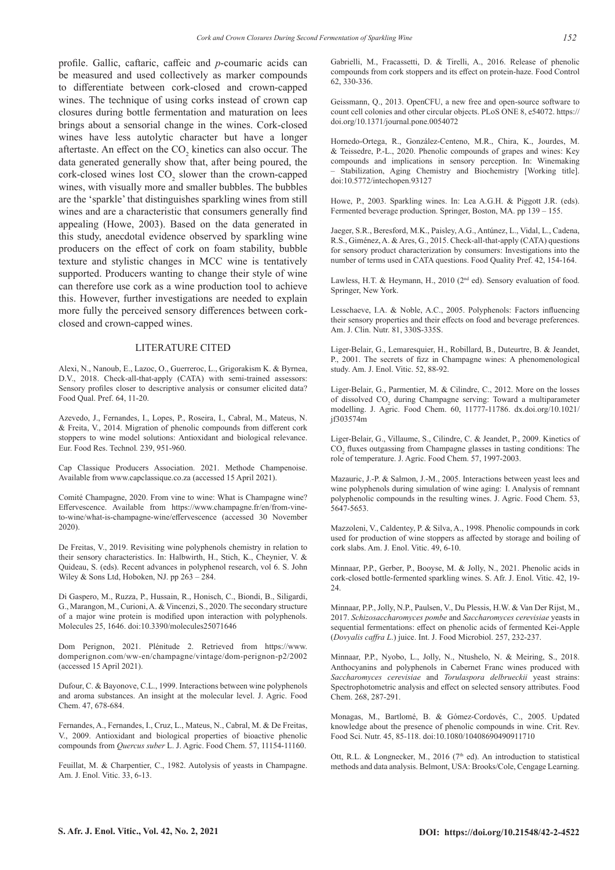profile. Gallic, caftaric, caffeic and *p*-coumaric acids can be measured and used collectively as marker compounds to differentiate between cork-closed and crown-capped wines. The technique of using corks instead of crown cap closures during bottle fermentation and maturation on lees brings about a sensorial change in the wines. Cork-closed wines have less autolytic character but have a longer aftertaste. An effect on the  $CO_2$  kinetics can also occur. The data generated generally show that, after being poured, the  $\text{cork-closed wines lost CO}_2$  slower than the crown-capped wines, with visually more and smaller bubbles. The bubbles are the 'sparkle' that distinguishes sparkling wines from still wines and are a characteristic that consumers generally find appealing (Howe, 2003). Based on the data generated in this study, anecdotal evidence observed by sparkling wine producers on the effect of cork on foam stability, bubble texture and stylistic changes in MCC wine is tentatively supported. Producers wanting to change their style of wine can therefore use cork as a wine production tool to achieve this. However, further investigations are needed to explain more fully the perceived sensory differences between corkclosed and crown-capped wines.

#### LITERATURE CITED

Alexi, N., Nanoub, E., Lazoc, O., Guerreroc, L., Grigorakism K. & Byrnea, D.V., 2018. Check-all-that-apply (CATA) with semi-trained assessors: Sensory profiles closer to descriptive analysis or consumer elicited data? Food Qual. Pref. 64, 11-20.

Azevedo, J., Fernandes, I., Lopes, P., Roseira, I., Cabral, M., Mateus, N. & Freita, V., 2014. Migration of phenolic compounds from different cork stoppers to wine model solutions: Antioxidant and biological relevance. Eur. Food Res. Technol*.* 239, 951-960.

Cap Classique Producers Association. 2021. Methode Champenoise. Available from www.capclassique.co.za (accessed 15 April 2021).

Comité Champagne, 2020. From vine to wine: What is Champagne wine? Effervescence. Available from https://www.champagne.fr/en/from-vineto-wine/what-is-champagne-wine/effervescence (accessed 30 November 2020).

De Freitas, V., 2019. Revisiting wine polyphenols chemistry in relation to their sensory characteristics. In: Halbwirth, H., Stich, K., Cheynier, V. & Quideau, S. (eds). Recent advances in polyphenol research, vol 6. S. John Wiley & Sons Ltd, Hoboken, NJ. pp 263 – 284.

Di Gaspero, M., Ruzza, P., Hussain, R., Honisch, C., Biondi, B., Siligardi, G., Marangon, M., Curioni, A. & Vincenzi, S., 2020. The secondary structure of a major wine protein is modified upon interaction with polyphenols. Molecules 25, 1646. doi:10.3390/molecules25071646

Dom Perignon, 2021. Plénitude 2. Retrieved from https://www. domperignon.com/ww-en/champagne/vintage/dom-perignon-p2/2002 (accessed 15 April 2021).

Dufour, C. & Bayonove, C.L., 1999. Interactions between wine polyphenols and aroma substances. An insight at the molecular level. J. Agric. Food Chem. 47, 678-684.

Fernandes, A., Fernandes, I., Cruz, L., Mateus, N., Cabral, M. & De Freitas, V., 2009. Antioxidant and biological properties of bioactive phenolic compounds from *Quercus suber* L. J. Agric. Food Chem. 57, 11154-11160.

Feuillat, M. & Charpentier, C., 1982. Autolysis of yeasts in Champagne. Am. J. Enol. Vitic. 33, 6-13.

Gabrielli, M., Fracassetti, D. & Tirelli, A., 2016. Release of phenolic compounds from cork stoppers and its effect on protein-haze. Food Control 62, 330-336.

Geissmann, Q., 2013. OpenCFU, a new free and open-source software to count cell colonies and other circular objects. PLoS ONE 8, e54072. https:// doi.org/10.1371/journal.pone.0054072

Hornedo-Ortega, R., González-Centeno, M.R., Chira, K., Jourdes, M. & Teissedre, P.-L., 2020. Phenolic compounds of grapes and wines: Key compounds and implications in sensory perception. In: Winemaking – Stabilization, Aging Chemistry and Biochemistry [Working title]. doi:10.5772/intechopen.93127

Howe, P., 2003. Sparkling wines. In: Lea A.G.H. & Piggott J.R. (eds). Fermented beverage production. Springer, Boston, MA. pp 139 – 155.

Jaeger, S.R., Beresford, M.K., Paisley, A.G., Antúnez, L., Vidal, L., Cadena, R.S., Giménez, A. & Ares, G., 2015. Check-all-that-apply (CATA) questions for sensory product characterization by consumers: Investigations into the number of terms used in CATA questions. Food Quality Pref. 42, 154-164.

Lawless, H.T. & Heymann, H., 2010 (2<sup>nd</sup> ed). Sensory evaluation of food. Springer, New York.

Lesschaeve, I.A. & Noble, A.C., 2005. Polyphenols: Factors influencing their sensory properties and their effects on food and beverage preferences. Am. J. Clin. Nutr. 81, 330S-335S.

Liger-Belair, G., Lemaresquier, H., Robillard, B., Duteurtre, B. & Jeandet, P., 2001. The secrets of fizz in Champagne wines: A phenomenological study. Am. J. Enol. Vitic. 52, 88-92.

Liger-Belair, G., Parmentier, M. & Cilindre, C., 2012. More on the losses of dissolved CO<sub>2</sub> during Champagne serving: Toward a multiparameter modelling. J. Agric. Food Chem. 60, 11777-11786. dx.doi.org/10.1021/ jf303574m

Liger-Belair, G., Villaume, S., Cilindre, C. & Jeandet, P., 2009. Kinetics of  $CO<sub>2</sub>$  fluxes outgassing from Champagne glasses in tasting conditions: The role of temperature. J. Agric. Food Chem. 57, 1997-2003.

Mazauric, J.-P. & Salmon, J.-M., 2005. Interactions between yeast lees and wine polyphenols during simulation of wine aging: I. Analysis of remnant polyphenolic compounds in the resulting wines. J. Agric. Food Chem. 53, 5647-5653.

Mazzoleni, V., Caldentey, P. & Silva, A., 1998. Phenolic compounds in cork used for production of wine stoppers as affected by storage and boiling of cork slabs. Am. J. Enol. Vitic. 49, 6-10.

Minnaar, P.P., Gerber, P., Booyse, M. & Jolly, N., 2021. Phenolic acids in cork-closed bottle-fermented sparkling wines. S. Afr. J. Enol. Vitic. 42, 19- 24.

Minnaar, P.P., Jolly, N.P., Paulsen, V., Du Plessis, H.W. & Van Der Rijst, M., 2017. *Schizosaccharomyces pombe* and *Saccharomyces cerevisiae* yeasts in sequential fermentations: effect on phenolic acids of fermented Kei-Apple (*Dovyalis caffra L*.) juice. Int. J. Food Microbiol. 257, 232-237.

Minnaar, P.P., Nyobo, L., Jolly, N., Ntushelo, N. & Meiring, S., 2018. Anthocyanins and polyphenols in Cabernet Franc wines produced with *Saccharomyces cerevisiae* and *Torulaspora delbrueckii* yeast strains: Spectrophotometric analysis and effect on selected sensory attributes. Food Chem. 268, 287-291.

Monagas, M., Bartlomé, B. & Gómez-Cordovés, C., 2005. Updated knowledge about the presence of phenolic compounds in wine. Crit. Rev. Food Sci. Nutr. 45, 85-118. doi:10.1080/10408690490911710

Ott, R.L. & Longnecker, M., 2016 (7<sup>th</sup> ed). An introduction to statistical methods and data analysis. Belmont, USA: Brooks/Cole, Cengage Learning.